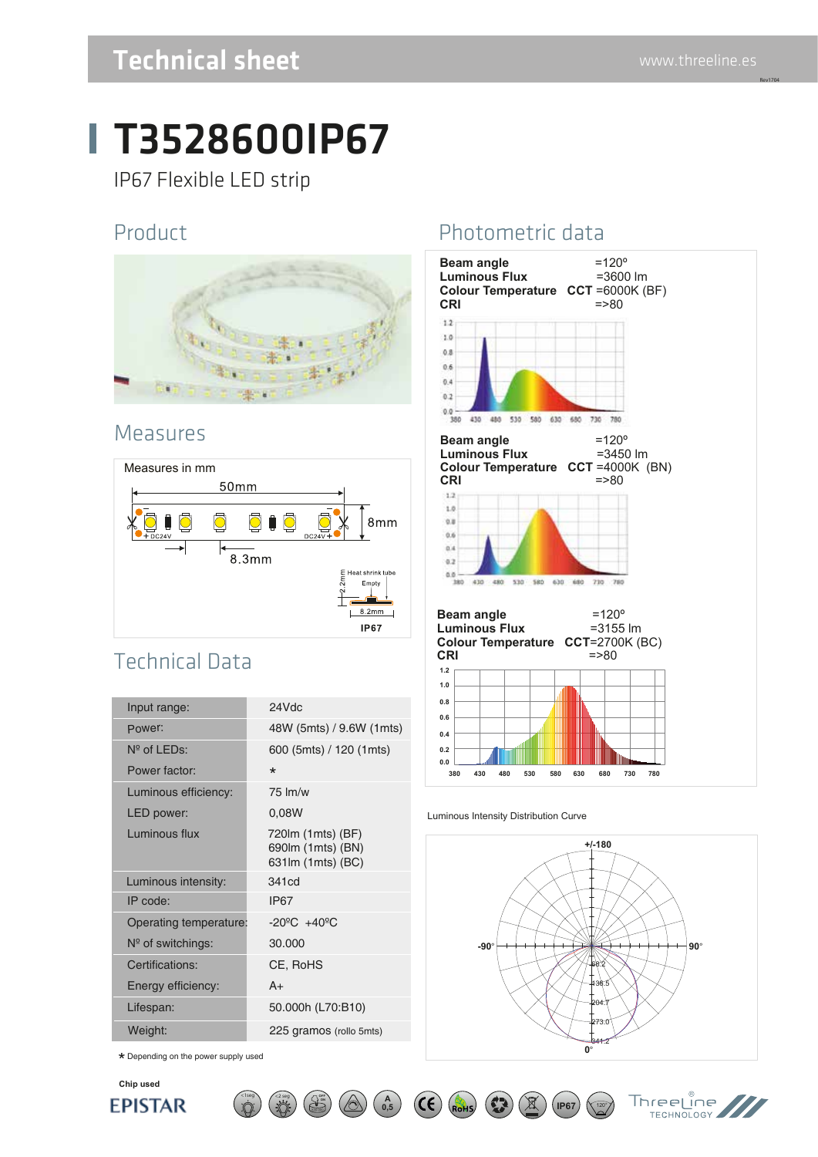Rev1704

## Technical sheet www.threeline.es

# T3528600IP67

IP67 Flexible LED strip

#### Product



#### Measures



### Technical Data

| Input range:           | 24Vdc                                                        |
|------------------------|--------------------------------------------------------------|
| Power:                 | 48W (5mts) / 9.6W (1mts)                                     |
| $N^{\circ}$ of LEDs:   | 600 (5mts) / 120 (1mts)                                      |
| Power factor:          | $\star$                                                      |
| Luminous efficiency:   | $75 \,$ lm/w                                                 |
| LED power:             | 0,08W                                                        |
| Luminous flux          | 720 m (1 mts) (BF)<br>690lm (1mts) (BN)<br>631lm (1mts) (BC) |
| Luminous intensity:    | 341cd                                                        |
| IP code:               | <b>IP67</b>                                                  |
| Operating temperature: | $-20^{\circ}$ C $+40^{\circ}$ C                              |
| $N°$ of switchings:    | 30,000                                                       |
| Certifications:        | CE, RoHS                                                     |
| Energy efficiency:     | $A+$                                                         |
| Lifespan:              | 50.000h (L70:B10)                                            |
| Weight:                | 225 gramos (rollo 5mts)                                      |

 $\star$  Depending on the power supply used

### Photometric data



#### Luminous Intensity Distribution Curve